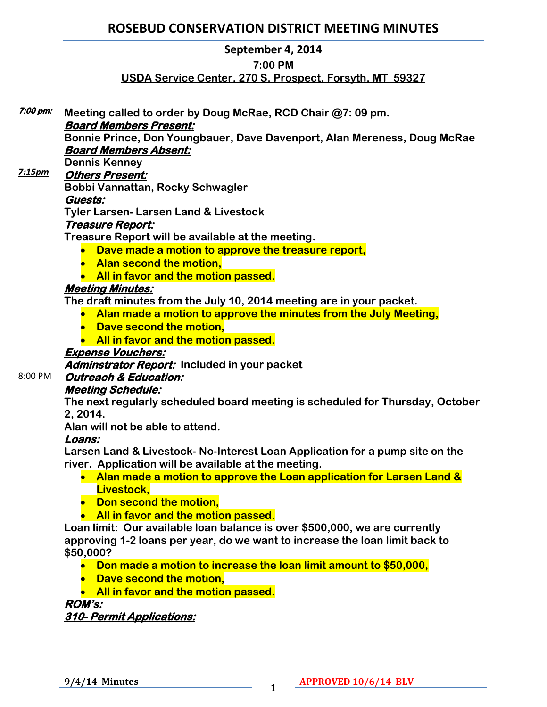# **ROSEBUD CONSERVATION DISTRICT MEETING MINUTES**

## **September 4, 2014**

### **7:00 PM**

## **USDA Service Center, 270 S. Prospect, Forsyth, MT 59327**

**Meeting called to order by Doug McRae, RCD Chair @7: 09 pm. Board Members Present: Bonnie Prince, Don Youngbauer, Dave Davenport, Alan Mereness, Doug McRae Board Members Absent: Dennis Kenney Others Present: Bobbi Vannattan, Rocky Schwagler Guests: Tyler Larsen- Larsen Land & Livestock Treasure Report: Treasure Report will be available at the meeting. Dave made a motion to approve the treasure report, • Alan second the motion. All in favor and the motion passed. Meeting Minutes: The draft minutes from the July 10, 2014 meeting are in your packet.**  *7:15pm*

- **Alan made a motion to approve the minutes from the July Meeting,**
- **Dave second the motion.**
- **All in favor and the motion passed.**

#### **Expense Vouchers:**

**Adminstrator Report: Included in your packet** 

## **Outreach & Education:**

## **Meeting Schedule:**

**The next regularly scheduled board meeting is scheduled for Thursday, October 2, 2014.** 

**Alan will not be able to attend.** 

## **Loans:**

**7:00 pm:** 

8:00 PM

**Larsen Land & Livestock- No-Interest Loan Application for a pump site on the river. Application will be available at the meeting.** 

- **Alan made a motion to approve the Loan application for Larsen Land & Livestock,**
- **Don second the motion,**
- **All in favor and the motion passed.**

**Loan limit: Our available loan balance is over \$500,000, we are currently approving 1-2 loans per year, do we want to increase the loan limit back to \$50,000?**

- **Don made a motion to increase the loan limit amount to \$50,000,**
- **Dave second the motion,**
- **All in favor and the motion passed.**

## **ROM's:**

## **310- Permit Applications:**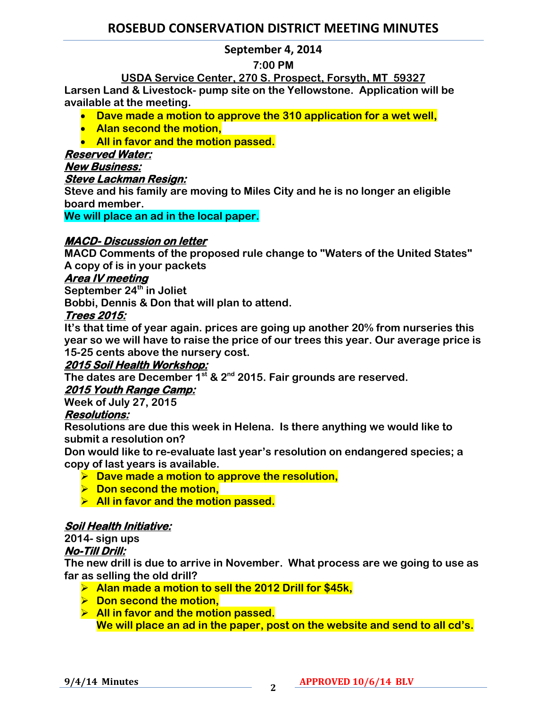# **ROSEBUD CONSERVATION DISTRICT MEETING MINUTES**

## **September 4, 2014**

## **7:00 PM**

**USDA Service Center, 270 S. Prospect, Forsyth, MT 59327 Larsen Land & Livestock- pump site on the Yellowstone. Application will be available at the meeting.** 

- **Dave made a motion to approve the 310 application for a wet well,**
- **Alan second the motion,**
- **All in favor and the motion passed.**

## **Reserved Water:**

**New Business:** 

## **Steve Lackman Resign:**

**Steve and his family are moving to Miles City and he is no longer an eligible board member.** 

**We will place an ad in the local paper.**

# **MACD- Discussion on letter**

**MACD Comments of the proposed rule change to "Waters of the United States" A copy of is in your packets**

# **Area IV meeting**

**September 24th in Joliet**

**Bobbi, Dennis & Don that will plan to attend.**

## **Trees 2015:**

**It's that time of year again. prices are going up another 20% from nurseries this year so we will have to raise the price of our trees this year. Our average price is 15-25 cents above the nursery cost.** 

# **2015 Soil Health Workshop:**

**The dates are December 1st & 2nd 2015. Fair grounds are reserved.** 

# **2015 Youth Range Camp:**

**Week of July 27, 2015**

# **Resolutions:**

**Resolutions are due this week in Helena. Is there anything we would like to submit a resolution on?** 

**Don would like to re-evaluate last year's resolution on endangered species; a copy of last years is available.** 

- **Dave made a motion to approve the resolution,**
- $\triangleright$  Don second the motion.
- **All in favor and the motion passed.**

# **Soil Health Initiative:**

**2014- sign ups**

# **No-Till Drill:**

**The new drill is due to arrive in November. What process are we going to use as far as selling the old drill?**

- **Alan made a motion to sell the 2012 Drill for \$45k,**
- **▶ Don second the motion,**
- **All in favor and the motion passed. We will place an ad in the paper, post on the website and send to all cd's.**